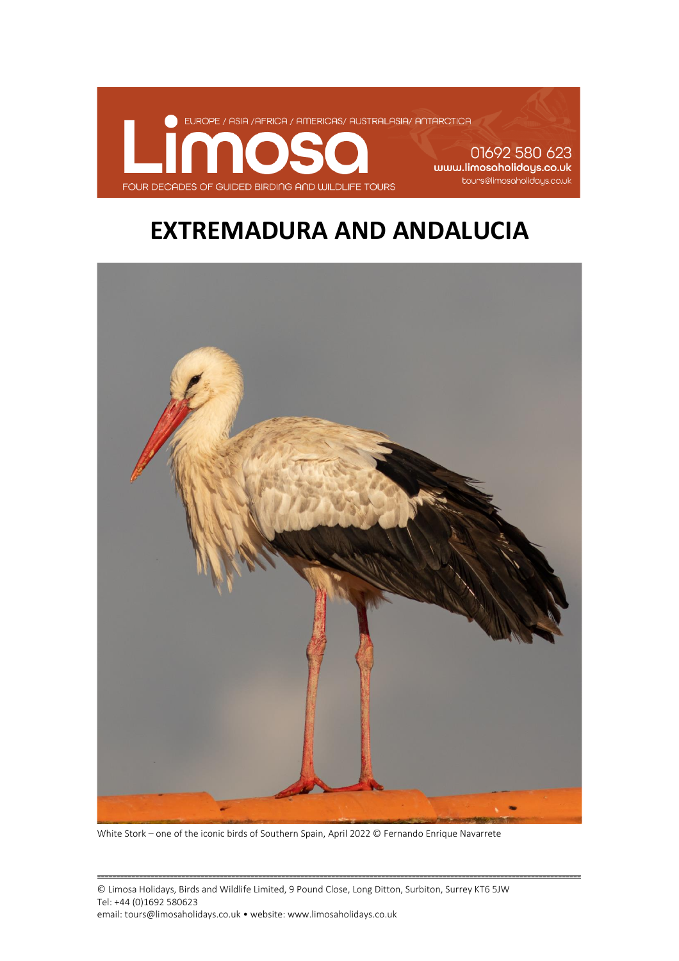

01692 580 623 www.limosaholidays.co.uk tours@limosaholidays.co.uk

## **EXTREMADURA AND ANDALUCIA**



White Stork – one of the iconic birds of Southern Spain, April 2022 © Fernando Enrique Navarrete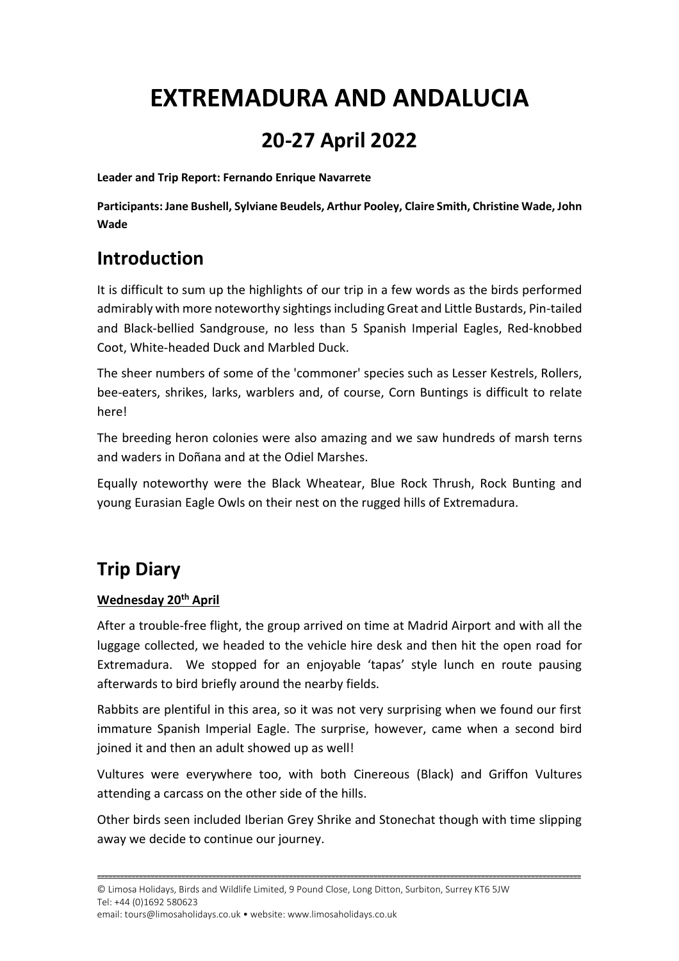# **EXTREMADURA AND ANDALUCIA**

## **20-27 April 2022**

**Leader and Trip Report: Fernando Enrique Navarrete**

**Participants: Jane Bushell, Sylviane Beudels, Arthur Pooley, Claire Smith, Christine Wade, John Wade**

### **Introduction**

It is difficult to sum up the highlights of our trip in a few words as the birds performed admirably with more noteworthy sightings including Great and Little Bustards, Pin-tailed and Black-bellied Sandgrouse, no less than 5 Spanish Imperial Eagles, Red-knobbed Coot, White-headed Duck and Marbled Duck.

The sheer numbers of some of the 'commoner' species such as Lesser Kestrels, Rollers, bee-eaters, shrikes, larks, warblers and, of course, Corn Buntings is difficult to relate here!

The breeding heron colonies were also amazing and we saw hundreds of marsh terns and waders in Doñana and at the Odiel Marshes.

Equally noteworthy were the Black Wheatear, Blue Rock Thrush, Rock Bunting and young Eurasian Eagle Owls on their nest on the rugged hills of Extremadura.

### **Trip Diary**

#### **Wednesday 20th April**

After a trouble-free flight, the group arrived on time at Madrid Airport and with all the luggage collected, we headed to the vehicle hire desk and then hit the open road for Extremadura. We stopped for an enjoyable 'tapas' style lunch en route pausing afterwards to bird briefly around the nearby fields.

Rabbits are plentiful in this area, so it was not very surprising when we found our first immature Spanish Imperial Eagle. The surprise, however, came when a second bird joined it and then an adult showed up as well!

Vultures were everywhere too, with both Cinereous (Black) and Griffon Vultures attending a carcass on the other side of the hills.

Other birds seen included Iberian Grey Shrike and Stonechat though with time slipping away we decide to continue our journey.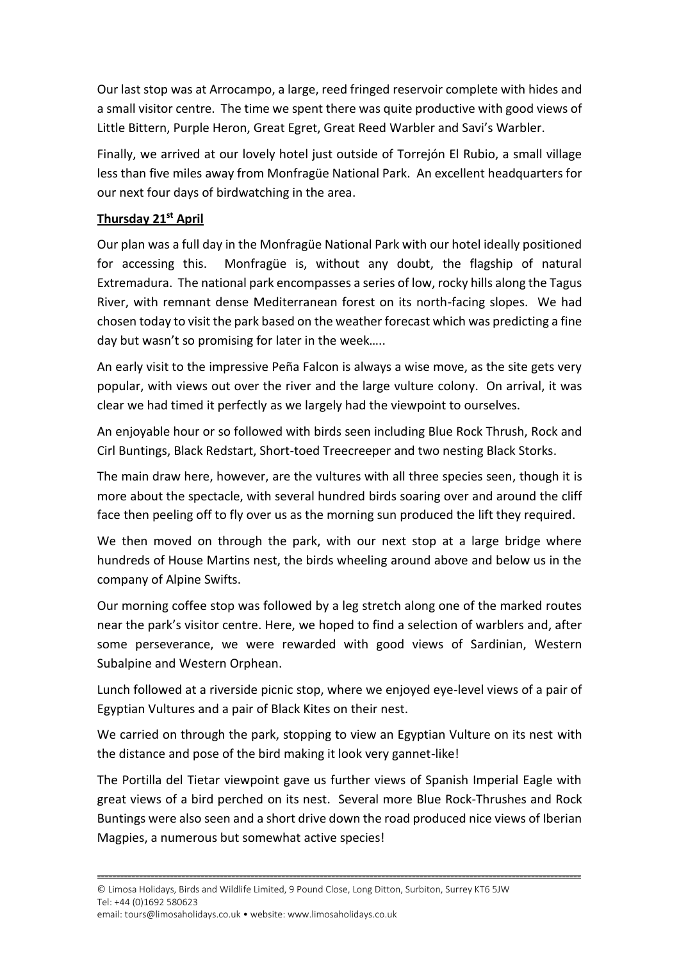Our last stop was at Arrocampo, a large, reed fringed reservoir complete with hides and a small visitor centre. The time we spent there was quite productive with good views of Little Bittern, Purple Heron, Great Egret, Great Reed Warbler and Savi's Warbler.

Finally, we arrived at our lovely hotel just outside of Torrejón El Rubio, a small village less than five miles away from Monfragüe National Park. An excellent headquarters for our next four days of birdwatching in the area.

#### **Thursday 21st April**

Our plan was a full day in the Monfragüe National Park with our hotel ideally positioned for accessing this. Monfragüe is, without any doubt, the flagship of natural Extremadura. The national park encompasses a series of low, rocky hills along the Tagus River, with remnant dense Mediterranean forest on its north-facing slopes. We had chosen today to visit the park based on the weather forecast which was predicting a fine day but wasn't so promising for later in the week…..

An early visit to the impressive Peña Falcon is always a wise move, as the site gets very popular, with views out over the river and the large vulture colony. On arrival, it was clear we had timed it perfectly as we largely had the viewpoint to ourselves.

An enjoyable hour or so followed with birds seen including Blue Rock Thrush, Rock and Cirl Buntings, Black Redstart, Short-toed Treecreeper and two nesting Black Storks.

The main draw here, however, are the vultures with all three species seen, though it is more about the spectacle, with several hundred birds soaring over and around the cliff face then peeling off to fly over us as the morning sun produced the lift they required.

We then moved on through the park, with our next stop at a large bridge where hundreds of House Martins nest, the birds wheeling around above and below us in the company of Alpine Swifts.

Our morning coffee stop was followed by a leg stretch along one of the marked routes near the park's visitor centre. Here, we hoped to find a selection of warblers and, after some perseverance, we were rewarded with good views of Sardinian, Western Subalpine and Western Orphean.

Lunch followed at a riverside picnic stop, where we enjoyed eye-level views of a pair of Egyptian Vultures and a pair of Black Kites on their nest.

We carried on through the park, stopping to view an Egyptian Vulture on its nest with the distance and pose of the bird making it look very gannet-like!

The Portilla del Tietar viewpoint gave us further views of Spanish Imperial Eagle with great views of a bird perched on its nest. Several more Blue Rock-Thrushes and Rock Buntings were also seen and a short drive down the road produced nice views of Iberian Magpies, a numerous but somewhat active species!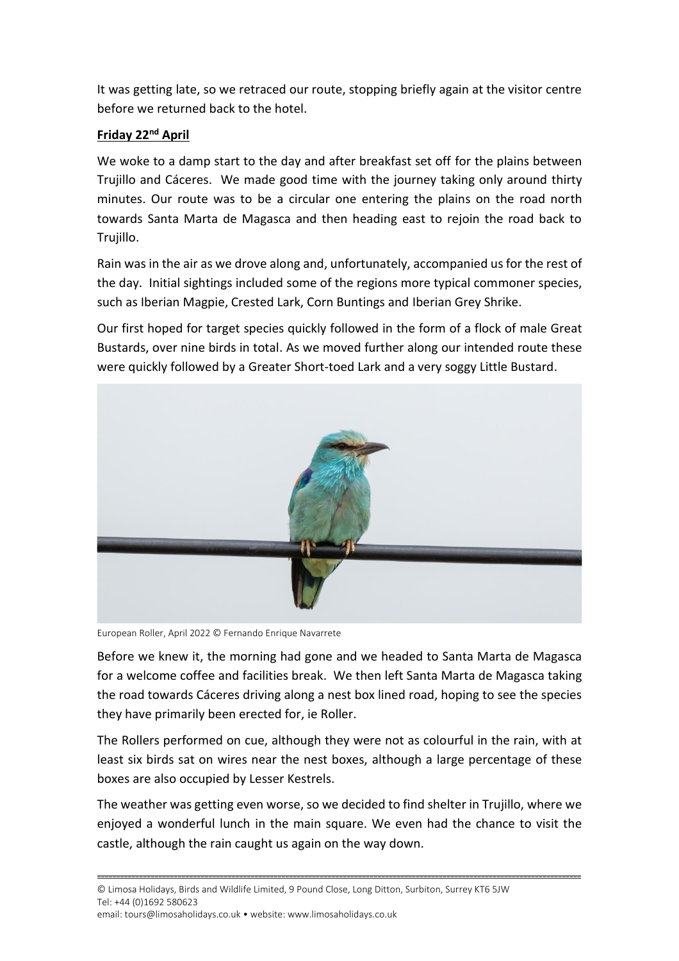It was getting late, so we retraced our route, stopping briefly again at the visitor centre before we returned back to the hotel.

#### **Friday 22nd April**

We woke to a damp start to the day and after breakfast set off for the plains between Trujillo and Cáceres. We made good time with the journey taking only around thirty minutes. Our route was to be a circular one entering the plains on the road north towards Santa Marta de Magasca and then heading east to rejoin the road back to Trujillo.

Rain was in the air as we drove along and, unfortunately, accompanied us for the rest of the day. Initial sightings included some of the regions more typical commoner species, such as Iberian Magpie, Crested Lark, Corn Buntings and Iberian Grey Shrike.

Our first hoped for target species quickly followed in the form of a flock of male Great Bustards, over nine birds in total. As we moved further along our intended route these were quickly followed by a Greater Short-toed Lark and a very soggy Little Bustard.



European Roller, April 2022 © Fernando Enrique Navarrete

Before we knew it, the morning had gone and we headed to Santa Marta de Magasca for a welcome coffee and facilities break. We then left Santa Marta de Magasca taking the road towards Cáceres driving along a nest box lined road, hoping to see the species they have primarily been erected for, ie Roller.

The Rollers performed on cue, although they were not as colourful in the rain, with at least six birds sat on wires near the nest boxes, although a large percentage of these boxes are also occupied by Lesser Kestrels.

The weather was getting even worse, so we decided to find shelter in Trujillo, where we enjoyed a wonderful lunch in the main square. We even had the chance to visit the castle, although the rain caught us again on the way down.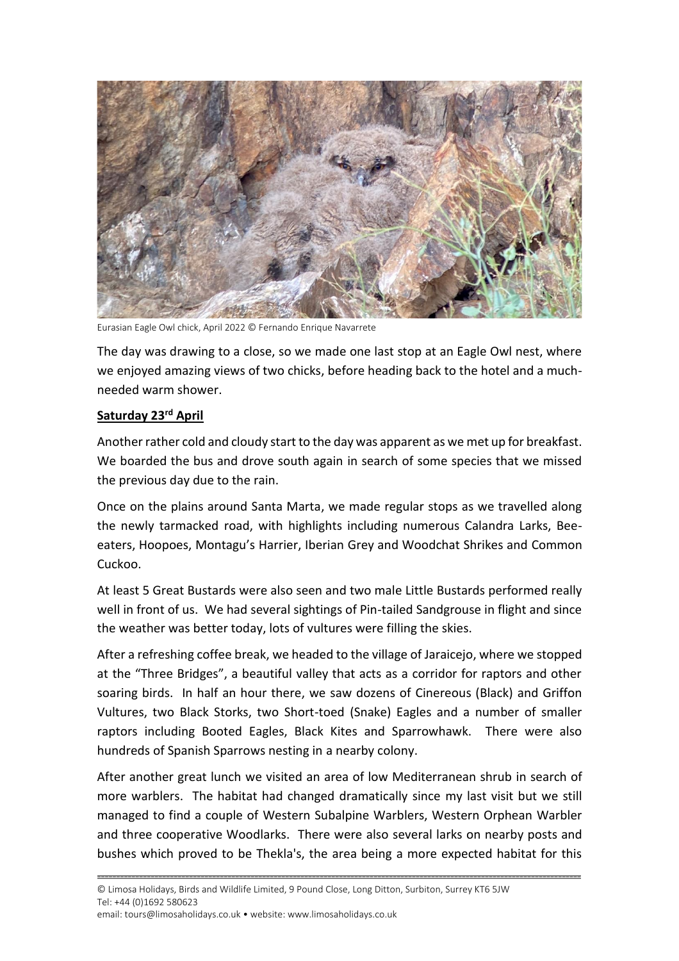

Eurasian Eagle Owl chick, April 2022 © Fernando Enrique Navarrete

The day was drawing to a close, so we made one last stop at an Eagle Owl nest, where we enjoyed amazing views of two chicks, before heading back to the hotel and a muchneeded warm shower.

#### **Saturday 23rd April**

Another rather cold and cloudy start to the day was apparent as we met up for breakfast. We boarded the bus and drove south again in search of some species that we missed the previous day due to the rain.

Once on the plains around Santa Marta, we made regular stops as we travelled along the newly tarmacked road, with highlights including numerous Calandra Larks, Beeeaters, Hoopoes, Montagu's Harrier, Iberian Grey and Woodchat Shrikes and Common Cuckoo.

At least 5 Great Bustards were also seen and two male Little Bustards performed really well in front of us. We had several sightings of Pin-tailed Sandgrouse in flight and since the weather was better today, lots of vultures were filling the skies.

After a refreshing coffee break, we headed to the village of Jaraicejo, where we stopped at the "Three Bridges", a beautiful valley that acts as a corridor for raptors and other soaring birds. In half an hour there, we saw dozens of Cinereous (Black) and Griffon Vultures, two Black Storks, two Short-toed (Snake) Eagles and a number of smaller raptors including Booted Eagles, Black Kites and Sparrowhawk. There were also hundreds of Spanish Sparrows nesting in a nearby colony.

After another great lunch we visited an area of low Mediterranean shrub in search of more warblers. The habitat had changed dramatically since my last visit but we still managed to find a couple of Western Subalpine Warblers, Western Orphean Warbler and three cooperative Woodlarks. There were also several larks on nearby posts and bushes which proved to be Thekla's, the area being a more expected habitat for this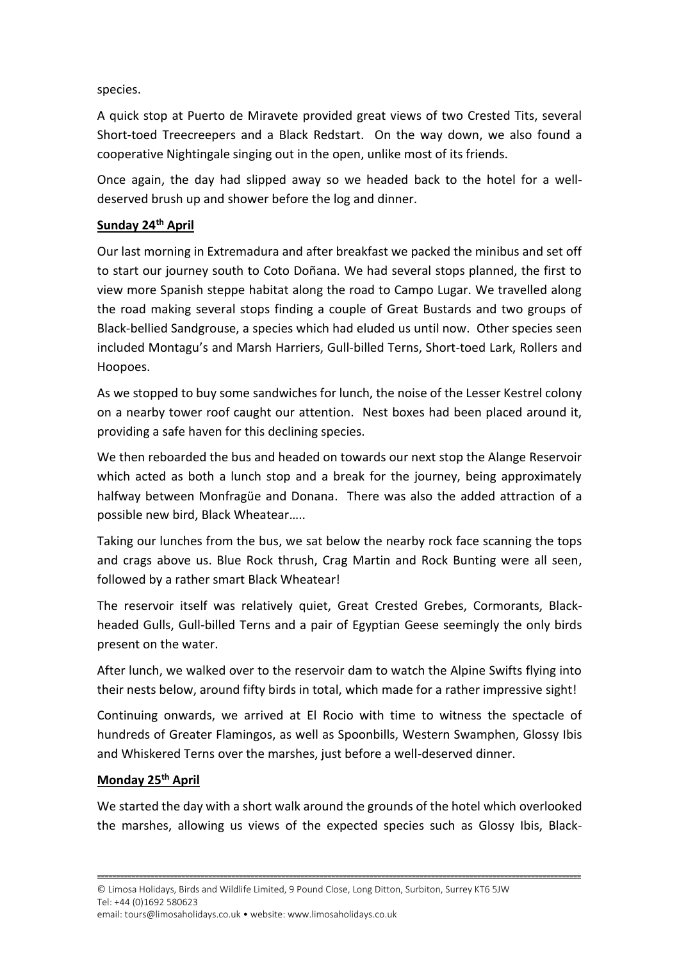species.

A quick stop at Puerto de Miravete provided great views of two Crested Tits, several Short-toed Treecreepers and a Black Redstart. On the way down, we also found a cooperative Nightingale singing out in the open, unlike most of its friends.

Once again, the day had slipped away so we headed back to the hotel for a welldeserved brush up and shower before the log and dinner.

#### **Sunday 24th April**

Our last morning in Extremadura and after breakfast we packed the minibus and set off to start our journey south to Coto Doñana. We had several stops planned, the first to view more Spanish steppe habitat along the road to Campo Lugar. We travelled along the road making several stops finding a couple of Great Bustards and two groups of Black-bellied Sandgrouse, a species which had eluded us until now. Other species seen included Montagu's and Marsh Harriers, Gull-billed Terns, Short-toed Lark, Rollers and Hoopoes.

As we stopped to buy some sandwiches for lunch, the noise of the Lesser Kestrel colony on a nearby tower roof caught our attention. Nest boxes had been placed around it, providing a safe haven for this declining species.

We then reboarded the bus and headed on towards our next stop the Alange Reservoir which acted as both a lunch stop and a break for the journey, being approximately halfway between Monfragüe and Donana. There was also the added attraction of a possible new bird, Black Wheatear…..

Taking our lunches from the bus, we sat below the nearby rock face scanning the tops and crags above us. Blue Rock thrush, Crag Martin and Rock Bunting were all seen, followed by a rather smart Black Wheatear!

The reservoir itself was relatively quiet, Great Crested Grebes, Cormorants, Blackheaded Gulls, Gull-billed Terns and a pair of Egyptian Geese seemingly the only birds present on the water.

After lunch, we walked over to the reservoir dam to watch the Alpine Swifts flying into their nests below, around fifty birds in total, which made for a rather impressive sight!

Continuing onwards, we arrived at El Rocio with time to witness the spectacle of hundreds of Greater Flamingos, as well as Spoonbills, Western Swamphen, Glossy Ibis and Whiskered Terns over the marshes, just before a well-deserved dinner.

#### **Monday 25th April**

We started the day with a short walk around the grounds of the hotel which overlooked the marshes, allowing us views of the expected species such as Glossy Ibis, Black-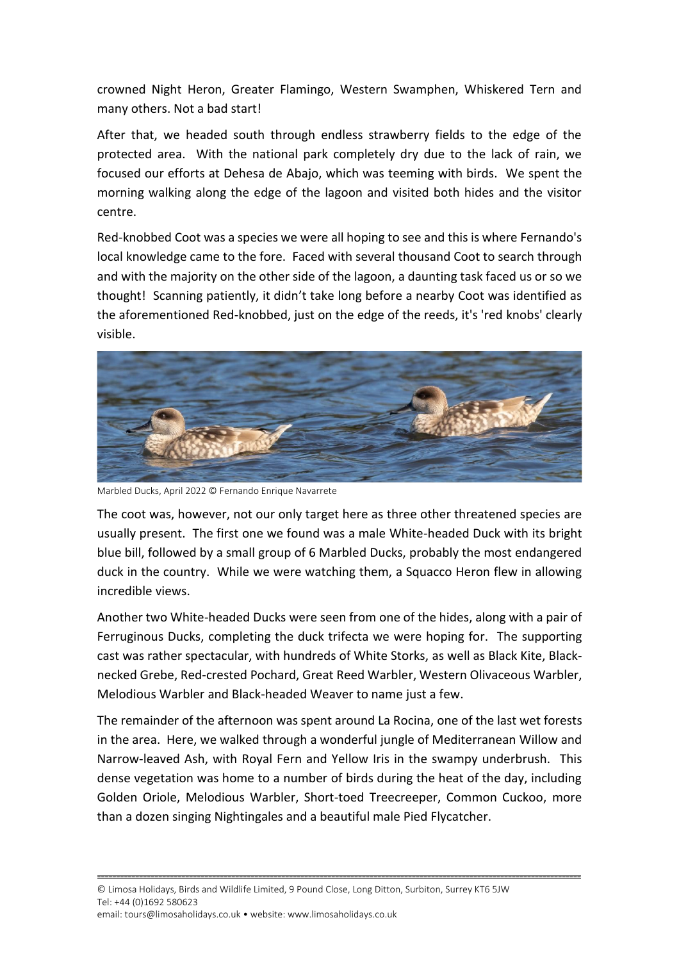crowned Night Heron, Greater Flamingo, Western Swamphen, Whiskered Tern and many others. Not a bad start!

After that, we headed south through endless strawberry fields to the edge of the protected area. With the national park completely dry due to the lack of rain, we focused our efforts at Dehesa de Abajo, which was teeming with birds. We spent the morning walking along the edge of the lagoon and visited both hides and the visitor centre.

Red-knobbed Coot was a species we were all hoping to see and this is where Fernando's local knowledge came to the fore. Faced with several thousand Coot to search through and with the majority on the other side of the lagoon, a daunting task faced us or so we thought! Scanning patiently, it didn't take long before a nearby Coot was identified as the aforementioned Red-knobbed, just on the edge of the reeds, it's 'red knobs' clearly visible.



Marbled Ducks, April 2022 © Fernando Enrique Navarrete

The coot was, however, not our only target here as three other threatened species are usually present. The first one we found was a male White-headed Duck with its bright blue bill, followed by a small group of 6 Marbled Ducks, probably the most endangered duck in the country. While we were watching them, a Squacco Heron flew in allowing incredible views.

Another two White-headed Ducks were seen from one of the hides, along with a pair of Ferruginous Ducks, completing the duck trifecta we were hoping for. The supporting cast was rather spectacular, with hundreds of White Storks, as well as Black Kite, Blacknecked Grebe, Red-crested Pochard, Great Reed Warbler, Western Olivaceous Warbler, Melodious Warbler and Black-headed Weaver to name just a few.

The remainder of the afternoon was spent around La Rocina, one of the last wet forests in the area. Here, we walked through a wonderful jungle of Mediterranean Willow and Narrow-leaved Ash, with Royal Fern and Yellow Iris in the swampy underbrush. This dense vegetation was home to a number of birds during the heat of the day, including Golden Oriole, Melodious Warbler, Short-toed Treecreeper, Common Cuckoo, more than a dozen singing Nightingales and a beautiful male Pied Flycatcher.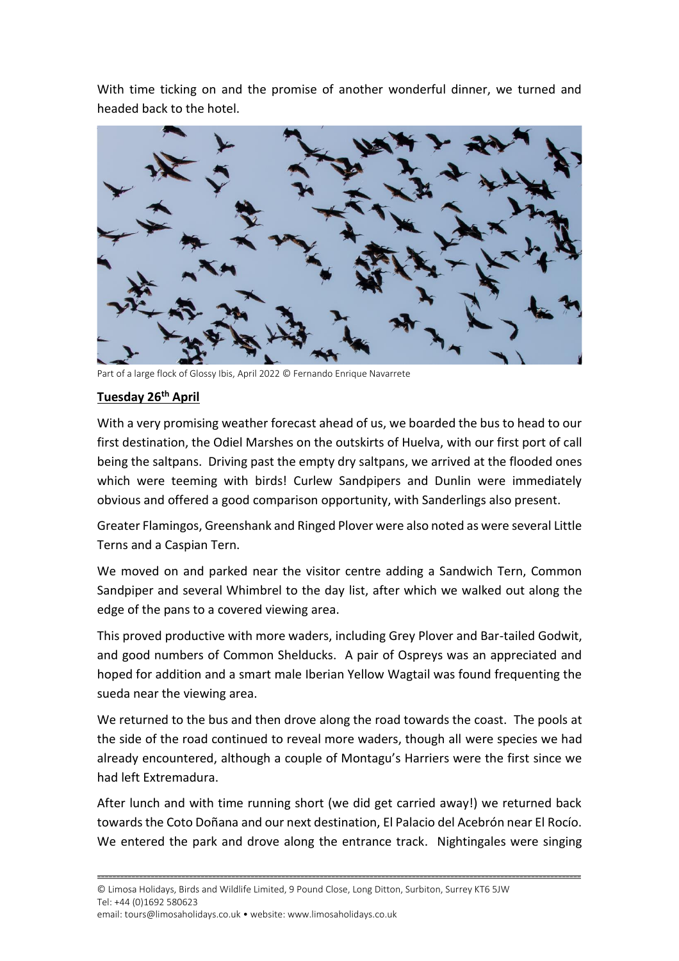With time ticking on and the promise of another wonderful dinner, we turned and headed back to the hotel.



Part of a large flock of Glossy Ibis, April 2022 © Fernando Enrique Navarrete

#### **Tuesday 26th April**

With a very promising weather forecast ahead of us, we boarded the bus to head to our first destination, the Odiel Marshes on the outskirts of Huelva, with our first port of call being the saltpans. Driving past the empty dry saltpans, we arrived at the flooded ones which were teeming with birds! Curlew Sandpipers and Dunlin were immediately obvious and offered a good comparison opportunity, with Sanderlings also present.

Greater Flamingos, Greenshank and Ringed Plover were also noted as were several Little Terns and a Caspian Tern.

We moved on and parked near the visitor centre adding a Sandwich Tern, Common Sandpiper and several Whimbrel to the day list, after which we walked out along the edge of the pans to a covered viewing area.

This proved productive with more waders, including Grey Plover and Bar-tailed Godwit, and good numbers of Common Shelducks. A pair of Ospreys was an appreciated and hoped for addition and a smart male Iberian Yellow Wagtail was found frequenting the sueda near the viewing area.

We returned to the bus and then drove along the road towards the coast. The pools at the side of the road continued to reveal more waders, though all were species we had already encountered, although a couple of Montagu's Harriers were the first since we had left Extremadura.

After lunch and with time running short (we did get carried away!) we returned back towards the Coto Doñana and our next destination, El Palacio del Acebrón near El Rocío. We entered the park and drove along the entrance track. Nightingales were singing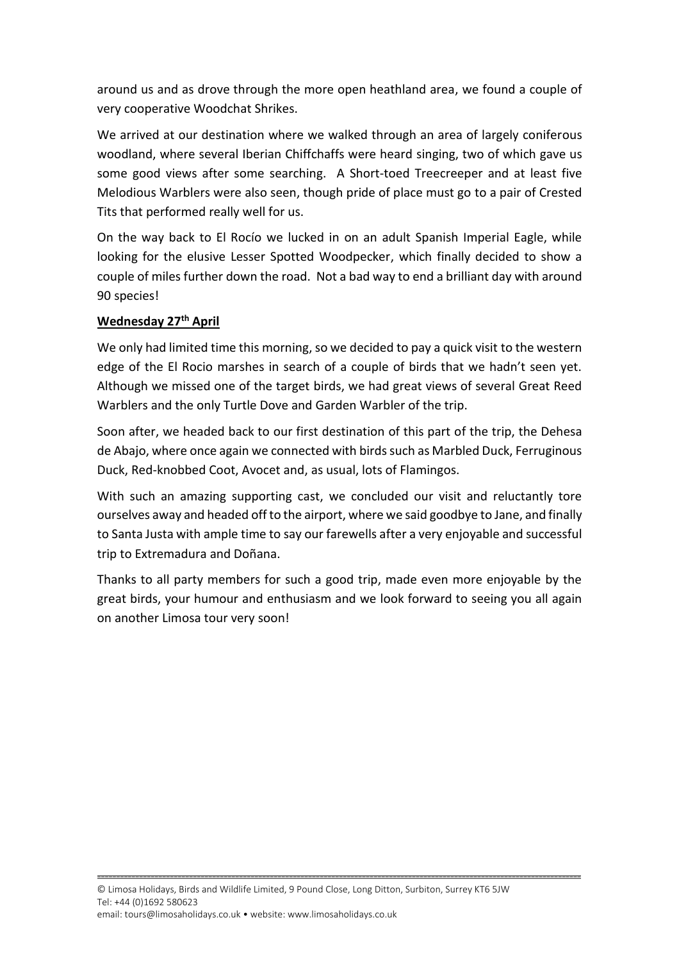around us and as drove through the more open heathland area, we found a couple of very cooperative Woodchat Shrikes.

We arrived at our destination where we walked through an area of largely coniferous woodland, where several Iberian Chiffchaffs were heard singing, two of which gave us some good views after some searching. A Short-toed Treecreeper and at least five Melodious Warblers were also seen, though pride of place must go to a pair of Crested Tits that performed really well for us.

On the way back to El Rocío we lucked in on an adult Spanish Imperial Eagle, while looking for the elusive Lesser Spotted Woodpecker, which finally decided to show a couple of miles further down the road. Not a bad way to end a brilliant day with around 90 species!

#### **Wednesday 27th April**

We only had limited time this morning, so we decided to pay a quick visit to the western edge of the El Rocio marshes in search of a couple of birds that we hadn't seen yet. Although we missed one of the target birds, we had great views of several Great Reed Warblers and the only Turtle Dove and Garden Warbler of the trip.

Soon after, we headed back to our first destination of this part of the trip, the Dehesa de Abajo, where once again we connected with birds such as Marbled Duck, Ferruginous Duck, Red-knobbed Coot, Avocet and, as usual, lots of Flamingos.

With such an amazing supporting cast, we concluded our visit and reluctantly tore ourselves away and headed off to the airport, where we said goodbye to Jane, and finally to Santa Justa with ample time to say our farewells after a very enjoyable and successful trip to Extremadura and Doñana.

Thanks to all party members for such a good trip, made even more enjoyable by the great birds, your humour and enthusiasm and we look forward to seeing you all again on another Limosa tour very soon!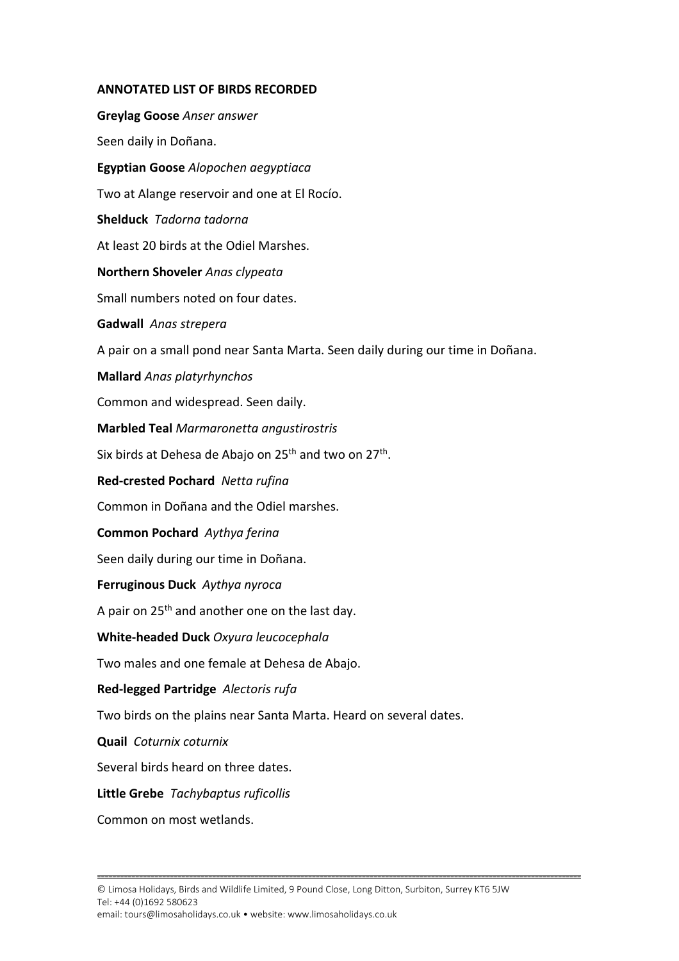#### **ANNOTATED LIST OF BIRDS RECORDED**

**Greylag Goose** *Anser answer* Seen daily in Doñana. **Egyptian Goose** *Alopochen aegyptiaca* Two at Alange reservoir and one at El Rocío. **Shelduck** *Tadorna tadorna* At least 20 birds at the Odiel Marshes. **Northern Shoveler** *Anas clypeata* Small numbers noted on four dates. **Gadwall** *Anas strepera* A pair on a small pond near Santa Marta. Seen daily during our time in Doñana. **Mallard** *Anas platyrhynchos* Common and widespread. Seen daily. **Marbled Teal** *Marmaronetta angustirostris* Six birds at Dehesa de Abajo on 25<sup>th</sup> and two on 27<sup>th</sup>. **Red-crested Pochard** *Netta rufina* Common in Doñana and the Odiel marshes. **Common Pochard** *Aythya ferina* Seen daily during our time in Doñana. **Ferruginous Duck** *Aythya nyroca* A pair on 25<sup>th</sup> and another one on the last day. **White-headed Duck** *Oxyura leucocephala* Two males and one female at Dehesa de Abajo. **Red-legged Partridge** *Alectoris rufa* Two birds on the plains near Santa Marta. Heard on several dates. **Quail** *Coturnix coturnix* Several birds heard on three dates. **Little Grebe** *Tachybaptus ruficollis* Common on most wetlands.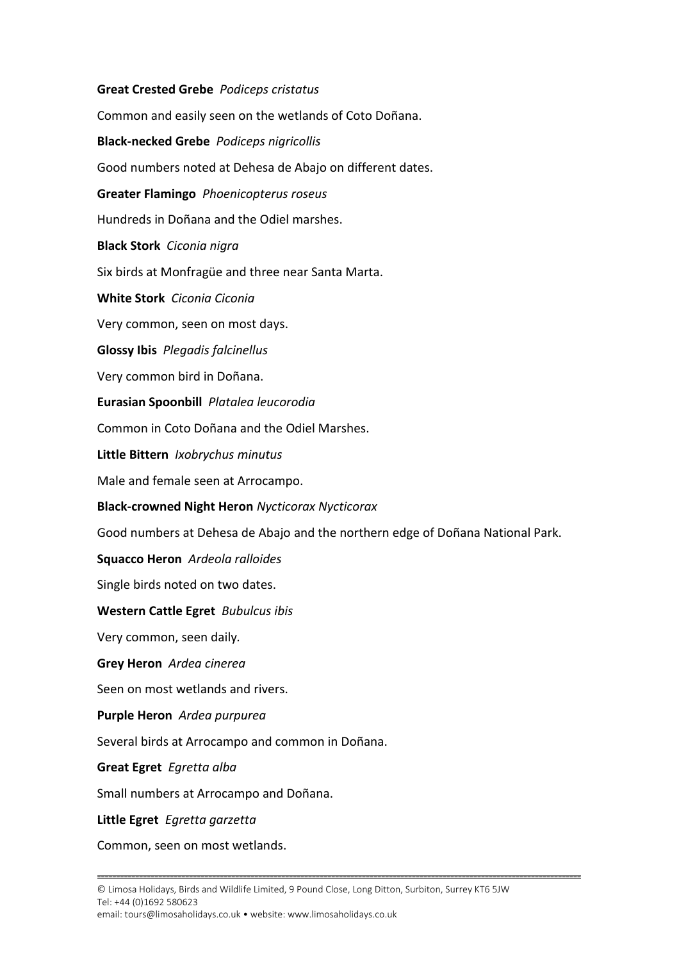**Great Crested Grebe** *Podiceps cristatus* Common and easily seen on the wetlands of Coto Doñana. **Black-necked Grebe** *Podiceps nigricollis* Good numbers noted at Dehesa de Abajo on different dates. **Greater Flamingo** *Phoenicopterus roseus* Hundreds in Doñana and the Odiel marshes. **Black Stork** *Ciconia nigra* Six birds at Monfragüe and three near Santa Marta. **White Stork** *Ciconia Ciconia* Very common, seen on most days. **Glossy Ibis** *Plegadis falcinellus* Very common bird in Doñana. **Eurasian Spoonbill** *Platalea leucorodia* Common in Coto Doñana and the Odiel Marshes. **Little Bittern** *Ixobrychus minutus* Male and female seen at Arrocampo. **Black-crowned Night Heron** *Nycticorax Nycticorax* Good numbers at Dehesa de Abajo and the northern edge of Doñana National Park. **Squacco Heron** *Ardeola ralloides* Single birds noted on two dates. **Western Cattle Egret** *Bubulcus ibis* Very common, seen daily*.* **Grey Heron** *Ardea cinerea* Seen on most wetlands and rivers. **Purple Heron** *Ardea purpurea* Several birds at Arrocampo and common in Doñana. **Great Egret** *Egretta alba* Small numbers at Arrocampo and Doñana. **Little Egret** *Egretta garzetta*

Common, seen on most wetlands.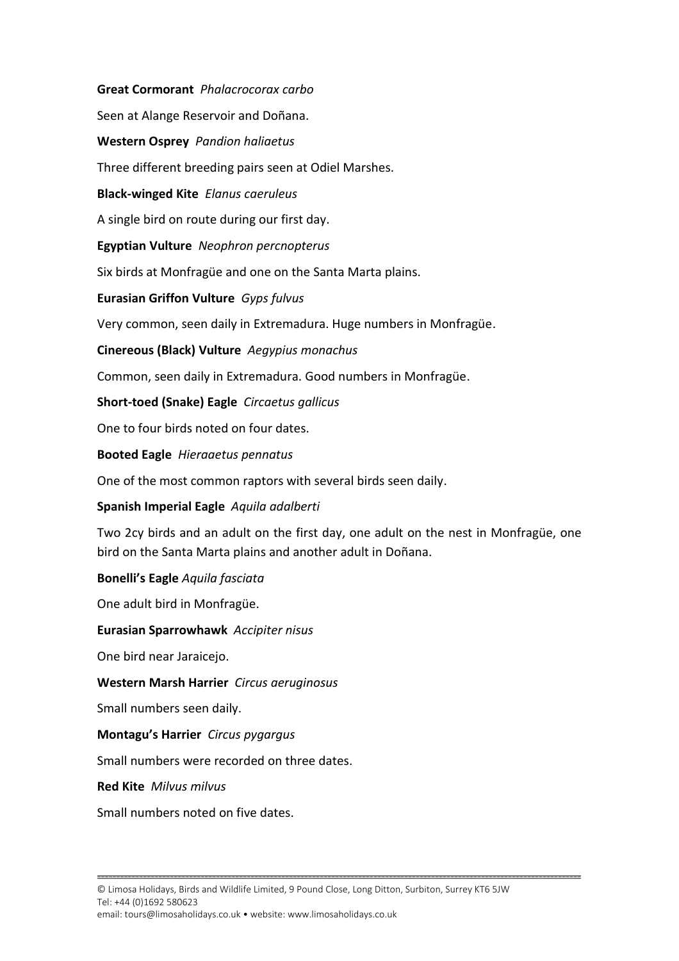**Great Cormorant** *Phalacrocorax carbo*

Seen at Alange Reservoir and Doñana.

**Western Osprey** *Pandion haliaetus*

Three different breeding pairs seen at Odiel Marshes.

**Black-winged Kite** *Elanus caeruleus*

A single bird on route during our first day.

**Egyptian Vulture** *Neophron percnopterus*

Six birds at Monfragüe and one on the Santa Marta plains.

**Eurasian Griffon Vulture** *Gyps fulvus*

Very common, seen daily in Extremadura. Huge numbers in Monfragüe.

**Cinereous (Black) Vulture** *Aegypius monachus*

Common, seen daily in Extremadura. Good numbers in Monfragüe.

**Short-toed (Snake) Eagle** *Circaetus gallicus*

One to four birds noted on four dates.

**Booted Eagle** *Hieraaetus pennatus*

One of the most common raptors with several birds seen daily.

**Spanish Imperial Eagle** *Aquila adalberti*

Two 2cy birds and an adult on the first day, one adult on the nest in Monfragüe, one bird on the Santa Marta plains and another adult in Doñana.

**Bonelli's Eagle** *Aquila fasciata*

One adult bird in Monfragüe.

**Eurasian Sparrowhawk** *Accipiter nisus*

One bird near Jaraicejo.

**Western Marsh Harrier** *Circus aeruginosus*

Small numbers seen daily.

**Montagu's Harrier** *Circus pygargus*

Small numbers were recorded on three dates.

**Red Kite** *Milvus milvus*

Small numbers noted on five dates.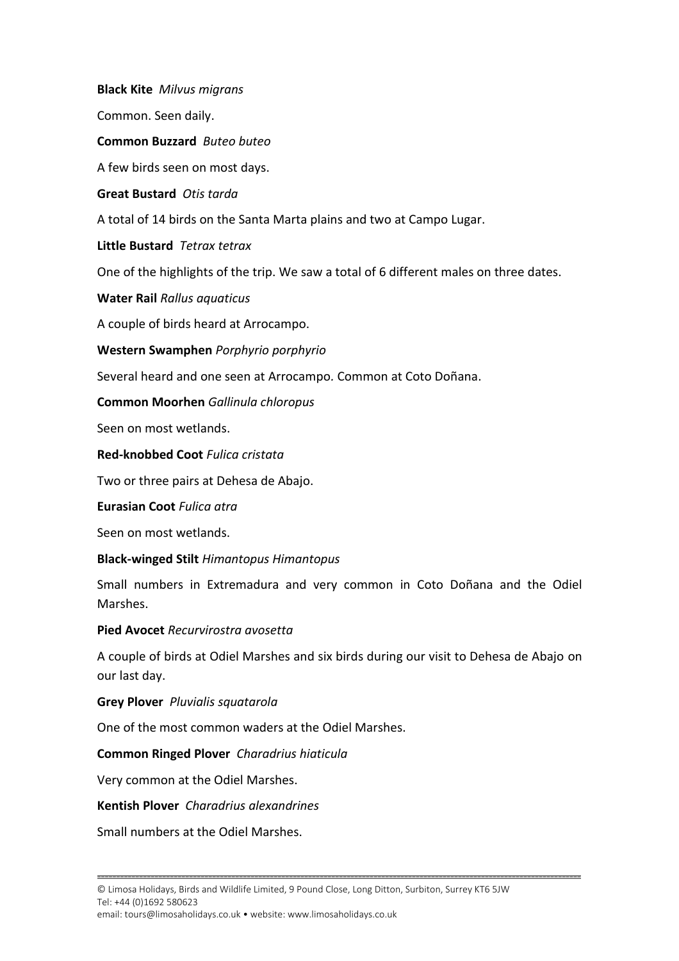**Black Kite** *Milvus migrans* Common. Seen daily. **Common Buzzard** *Buteo buteo* A few birds seen on most days. **Great Bustard** *Otis tarda* A total of 14 birds on the Santa Marta plains and two at Campo Lugar. **Little Bustard** *Tetrax tetrax* One of the highlights of the trip. We saw a total of 6 different males on three dates. **Water Rail** *Rallus aquaticus* A couple of birds heard at Arrocampo. **Western Swamphen** *Porphyrio porphyrio* Several heard and one seen at Arrocampo*.* Common at Coto Doñana. **Common Moorhen** *Gallinula chloropus* Seen on most wetlands. **Red-knobbed Coot** *Fulica cristata* Two or three pairs at Dehesa de Abajo. **Eurasian Coot** *Fulica atra* Seen on most wetlands. **Black-winged Stilt** *Himantopus Himantopus* Small numbers in Extremadura and very common in Coto Doñana and the Odiel Marshes. **Pied Avocet** *Recurvirostra avosetta* A couple of birds at Odiel Marshes and six birds during our visit to Dehesa de Abajo on our last day. **Grey Plover** *Pluvialis squatarola* One of the most common waders at the Odiel Marshes. **Common Ringed Plover** *Charadrius hiaticula* Very common at the Odiel Marshes.

#### **Kentish Plover** *Charadrius alexandrines*

Small numbers at the Odiel Marshes.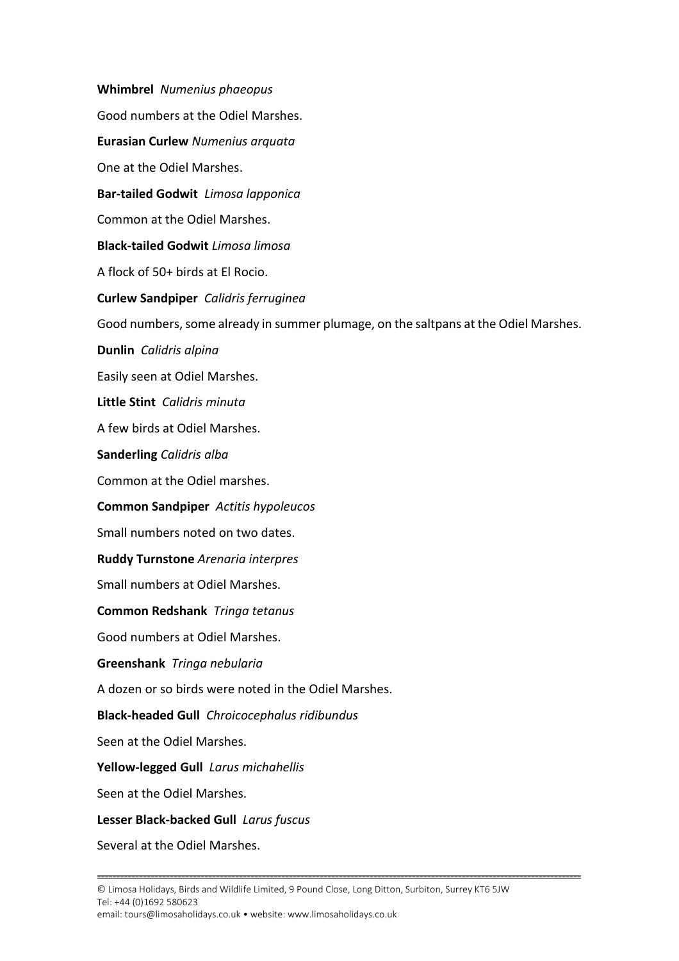**Whimbrel** *Numenius phaeopus* Good numbers at the Odiel Marshes. **Eurasian Curlew** *Numenius arquata* One at the Odiel Marshes. **Bar-tailed Godwit** *Limosa lapponica* Common at the Odiel Marshes. **Black-tailed Godwit** *Limosa limosa* A flock of 50+ birds at El Rocio. **Curlew Sandpiper** *Calidris ferruginea* Good numbers, some already in summer plumage, on the saltpans at the Odiel Marshes. **Dunlin** *Calidris alpina* Easily seen at Odiel Marshes. **Little Stint** *Calidris minuta* A few birds at Odiel Marshes. **Sanderling** *Calidris alba* Common at the Odiel marshes. **Common Sandpiper** *Actitis hypoleucos* Small numbers noted on two dates. **Ruddy Turnstone** *Arenaria interpres* Small numbers at Odiel Marshes. **Common Redshank** *Tringa tetanus* Good numbers at Odiel Marshes. **Greenshank** *Tringa nebularia* A dozen or so birds were noted in the Odiel Marshes. **Black-headed Gull** *Chroicocephalus ridibundus* Seen at the Odiel Marshes. **Yellow-legged Gull** *Larus michahellis* Seen at the Odiel Marshes. **Lesser Black-backed Gull** *Larus fuscus* Several at the Odiel Marshes.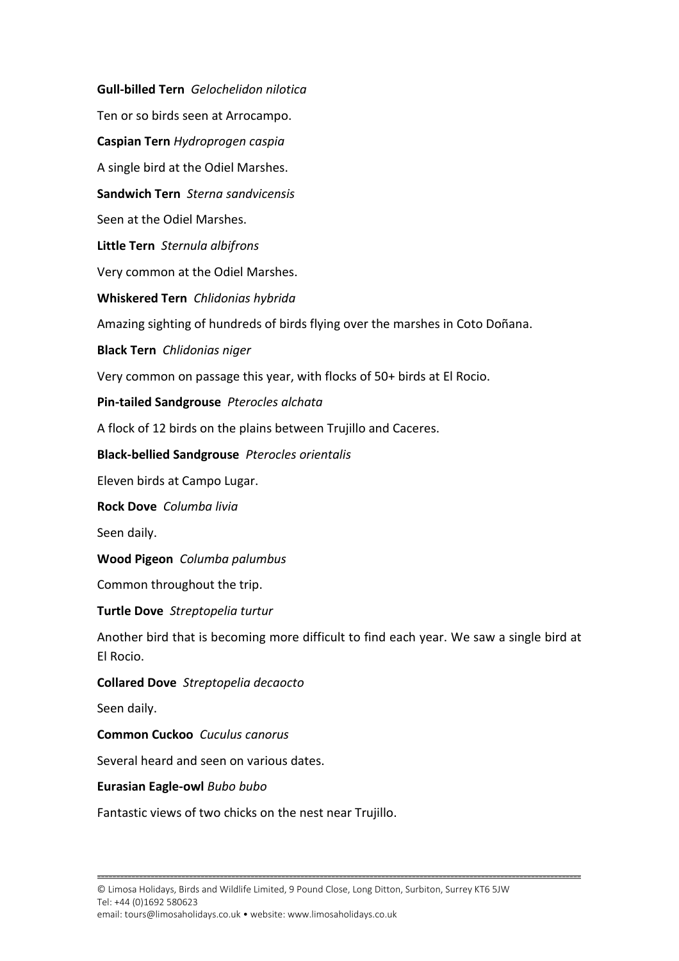**Gull-billed Tern** *Gelochelidon nilotica* Ten or so birds seen at Arrocampo. **Caspian Tern** *Hydroprogen caspia* A single bird at the Odiel Marshes. **Sandwich Tern** *Sterna sandvicensis* Seen at the Odiel Marshes. **Little Tern** *Sternula albifrons* Very common at the Odiel Marshes. **Whiskered Tern** *Chlidonias hybrida*  Amazing sighting of hundreds of birds flying over the marshes in Coto Doñana. **Black Tern** *Chlidonias niger* Very common on passage this year, with flocks of 50+ birds at El Rocio. **Pin-tailed Sandgrouse** *Pterocles alchata* A flock of 12 birds on the plains between Trujillo and Caceres. **Black-bellied Sandgrouse** *Pterocles orientalis* Eleven birds at Campo Lugar. **Rock Dove** *Columba livia* Seen daily. **Wood Pigeon** *Columba palumbus* Common throughout the trip. **Turtle Dove** *Streptopelia turtur* Another bird that is becoming more difficult to find each year. We saw a single bird at El Rocio. **Collared Dove** *Streptopelia decaocto* Seen daily. **Common Cuckoo** *Cuculus canorus* Several heard and seen on various dates. **Eurasian Eagle-owl** *Bubo bubo* Fantastic views of two chicks on the nest near Trujillo.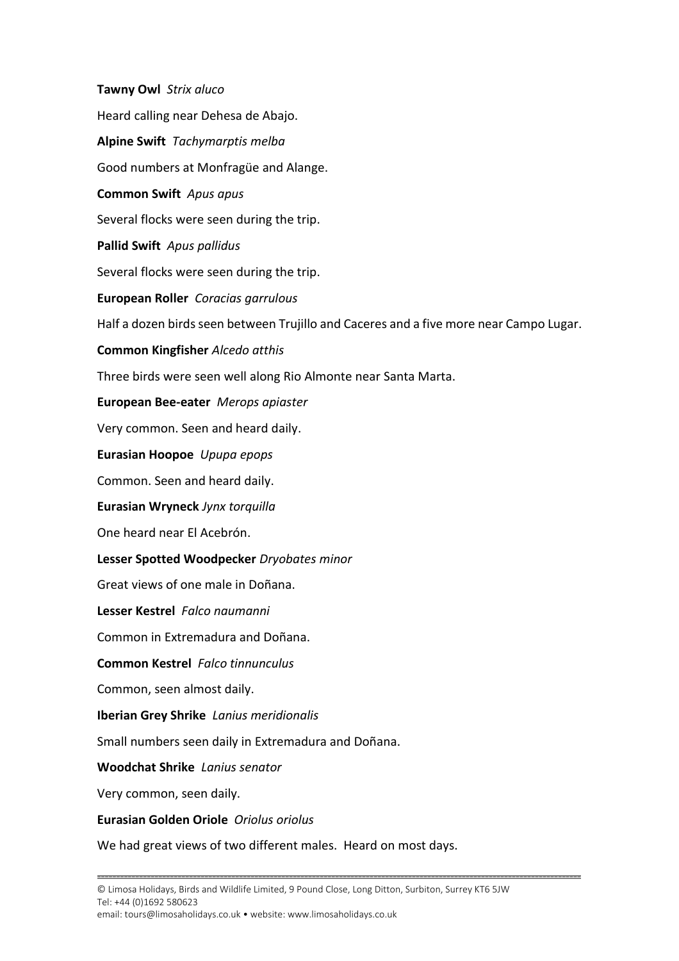**Tawny Owl** *Strix aluco* Heard calling near Dehesa de Abajo. **Alpine Swift** *Tachymarptis melba* Good numbers at Monfragüe and Alange. **Common Swift** *Apus apus* Several flocks were seen during the trip. **Pallid Swift** *Apus pallidus* Several flocks were seen during the trip. **European Roller** *Coracias garrulous* Half a dozen birds seen between Trujillo and Caceres and a five more near Campo Lugar. **Common Kingfisher** *Alcedo atthis* Three birds were seen well along Rio Almonte near Santa Marta. **European Bee-eater** *Merops apiaster* Very common. Seen and heard daily. **Eurasian Hoopoe** *Upupa epops* Common. Seen and heard daily. **Eurasian Wryneck** *Jynx torquilla* One heard near El Acebrón. **Lesser Spotted Woodpecker** *Dryobates minor* Great views of one male in Doñana. **Lesser Kestrel** *Falco naumanni* Common in Extremadura and Doñana. **Common Kestrel** *Falco tinnunculus* Common, seen almost daily. **Iberian Grey Shrike** *Lanius meridionalis* Small numbers seen daily in Extremadura and Doñana. **Woodchat Shrike** *Lanius senator* Very common, seen daily. **Eurasian Golden Oriole** *Oriolus oriolus*

We had great views of two different males. Heard on most days.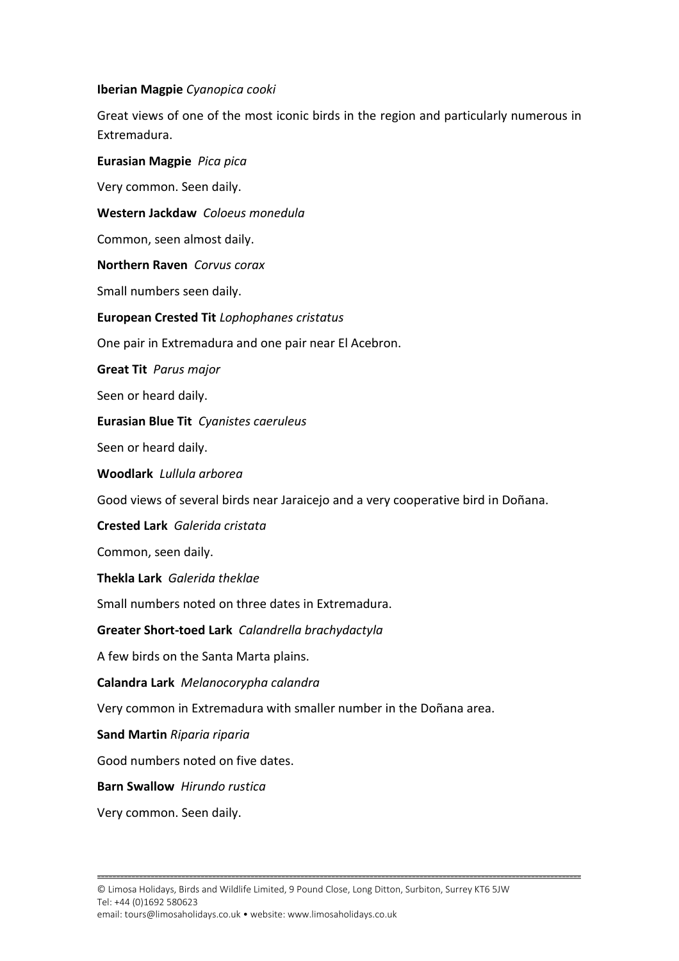#### **Iberian Magpie** *Cyanopica cooki*

Great views of one of the most iconic birds in the region and particularly numerous in Extremadura.

**Eurasian Magpie** *Pica pica* Very common. Seen daily. **Western Jackdaw** *Coloeus monedula* Common, seen almost daily. **Northern Raven** *Corvus corax* Small numbers seen daily. **European Crested Tit** *Lophophanes cristatus* One pair in Extremadura and one pair near El Acebron. **Great Tit** *Parus major* Seen or heard daily. **Eurasian Blue Tit** *Cyanistes caeruleus* Seen or heard daily. **Woodlark** *Lullula arborea* Good views of several birds near Jaraicejo and a very cooperative bird in Doñana. **Crested Lark** *Galerida cristata* Common, seen daily. **Thekla Lark** *Galerida theklae* Small numbers noted on three dates in Extremadura. **Greater Short-toed Lark** *Calandrella brachydactyla* A few birds on the Santa Marta plains. **Calandra Lark** *Melanocorypha calandra* Very common in Extremadura with smaller number in the Doñana area. **Sand Martin** *Riparia riparia* Good numbers noted on five dates. **Barn Swallow** *Hirundo rustica*

Very common. Seen daily.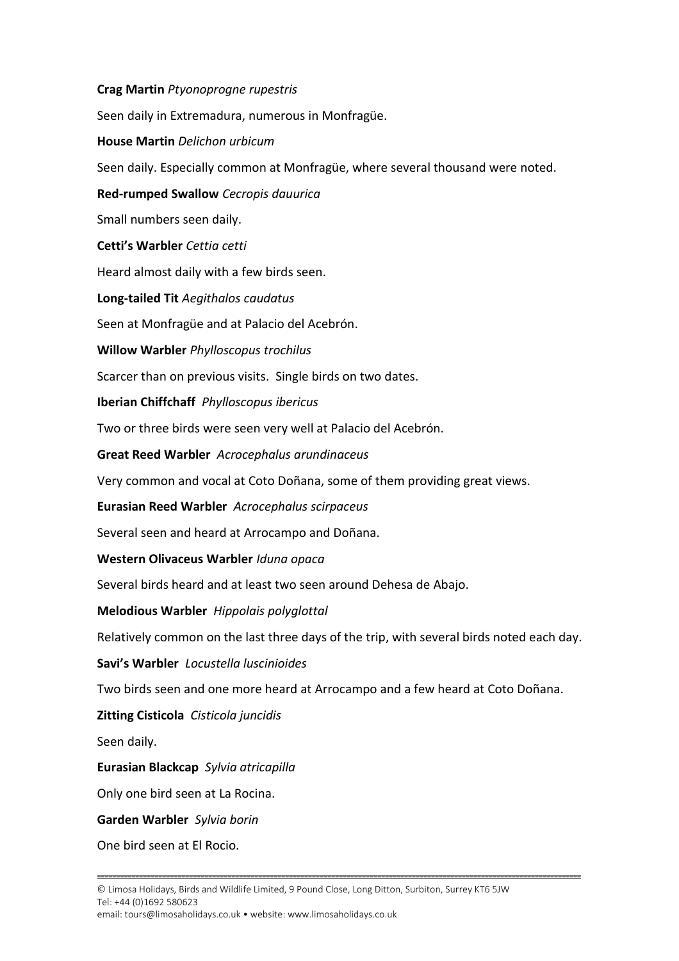**Crag Martin** *Ptyonoprogne rupestris* Seen daily in Extremadura, numerous in Monfragüe. **House Martin** *Delichon urbicum* Seen daily. Especially common at Monfragüe, where several thousand were noted. **Red-rumped Swallow** *Cecropis dauurica* Small numbers seen daily. **Cetti's Warbler** *Cettia cetti* Heard almost daily with a few birds seen. **Long-tailed Tit** *Aegithalos caudatus* Seen at Monfragüe and at Palacio del Acebrón. **Willow Warbler** *Phylloscopus trochilus* Scarcer than on previous visits. Single birds on two dates. **Iberian Chiffchaff** *Phylloscopus ibericus* Two or three birds were seen very well at Palacio del Acebrón. **Great Reed Warbler** *Acrocephalus arundinaceus* Very common and vocal at Coto Doñana, some of them providing great views. **Eurasian Reed Warbler** *Acrocephalus scirpaceus* Several seen and heard at Arrocampo and Doñana. **Western Olivaceus Warbler** *Iduna opaca* Several birds heard and at least two seen around Dehesa de Abajo. **Melodious Warbler** *Hippolais polyglottal* Relatively common on the last three days of the trip, with several birds noted each day. **Savi's Warbler** *Locustella luscinioides* Two birds seen and one more heard at Arrocampo and a few heard at Coto Doñana. **Zitting Cisticola** *Cisticola juncidis* Seen daily. **Eurasian Blackcap** *Sylvia atricapilla* Only one bird seen at La Rocina. **Garden Warbler** *Sylvia borin* One bird seen at El Rocio.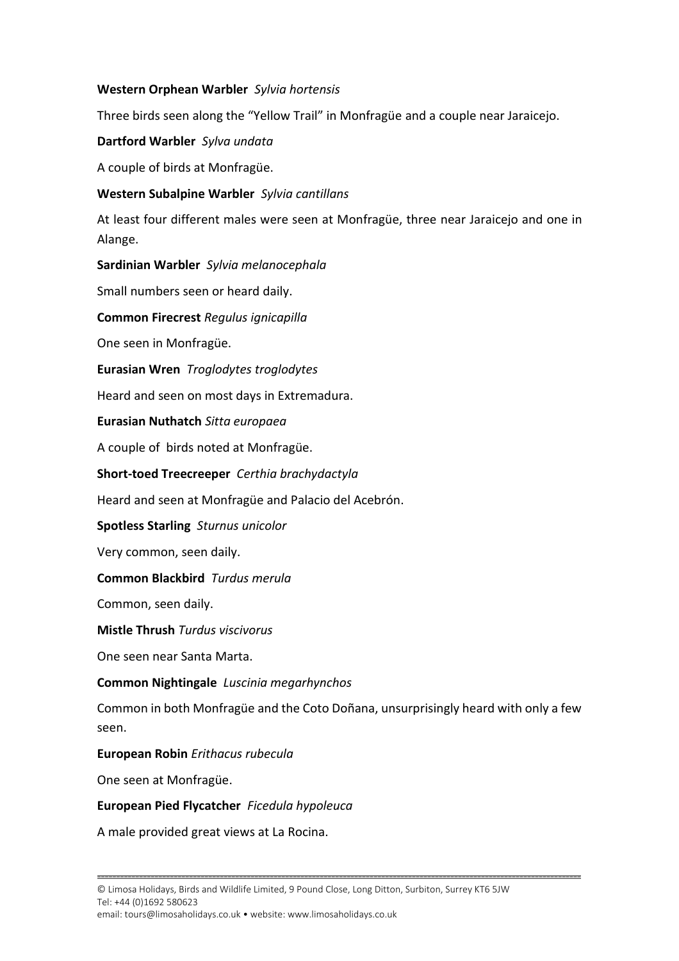#### **Western Orphean Warbler** *Sylvia hortensis*

Three birds seen along the "Yellow Trail" in Monfragüe and a couple near Jaraicejo.

#### **Dartford Warbler** *Sylva undata*

A couple of birds at Monfragüe.

#### **Western Subalpine Warbler** *Sylvia cantillans*

At least four different males were seen at Monfragüe, three near Jaraicejo and one in Alange.

**Sardinian Warbler** *Sylvia melanocephala*

Small numbers seen or heard daily.

**Common Firecrest** *Regulus ignicapilla*

One seen in Monfragüe.

**Eurasian Wren** *Troglodytes troglodytes*

Heard and seen on most days in Extremadura.

**Eurasian Nuthatch** *Sitta europaea*

A couple of birds noted at Monfragüe.

**Short-toed Treecreeper** *Certhia brachydactyla*

Heard and seen at Monfragüe and Palacio del Acebrón.

**Spotless Starling** *Sturnus unicolor*

Very common, seen daily.

#### **Common Blackbird** *Turdus merula*

Common, seen daily.

**Mistle Thrush** *Turdus viscivorus*

One seen near Santa Marta.

#### **Common Nightingale** *Luscinia megarhynchos*

Common in both Monfragüe and the Coto Doñana, unsurprisingly heard with only a few seen.

**------------------------------------------------------------------------------------------------------------------------------**

#### **European Robin** *Erithacus rubecula*

One seen at Monfragüe.

#### **European Pied Flycatcher** *Ficedula hypoleuca*

A male provided great views at La Rocina.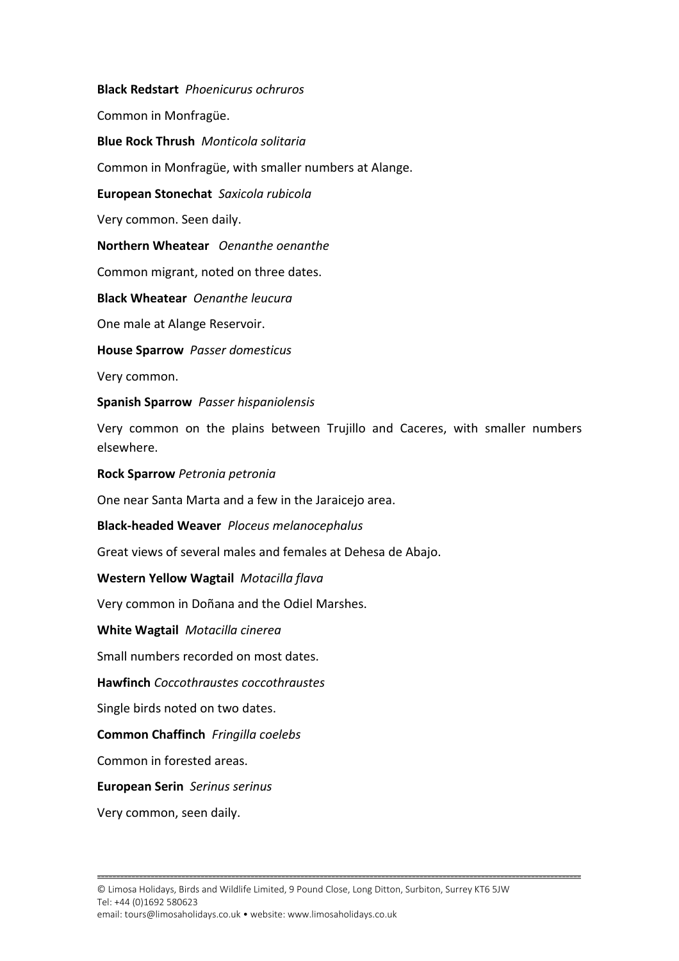**Black Redstart** *Phoenicurus ochruros* Common in Monfragüe. **Blue Rock Thrush** *Monticola solitaria*  Common in Monfragüe, with smaller numbers at Alange. **European Stonechat** *Saxicola rubicola* Very common. Seen daily. **Northern Wheatear** *Oenanthe oenanthe* Common migrant, noted on three dates. **Black Wheatear** *Oenanthe leucura* One male at Alange Reservoir. **House Sparrow** *Passer domesticus* Very common. **Spanish Sparrow** *Passer hispaniolensis* Very common on the plains between Trujillo and Caceres, with smaller numbers elsewhere. **Rock Sparrow** *Petronia petronia* One near Santa Marta and a few in the Jaraicejo area. **Black-headed Weaver** *Ploceus melanocephalus* Great views of several males and females at Dehesa de Abajo. **Western Yellow Wagtail** *Motacilla flava* Very common in Doñana and the Odiel Marshes. **White Wagtail** *Motacilla cinerea* Small numbers recorded on most dates. **Hawfinch** *Coccothraustes coccothraustes* Single birds noted on two dates. **Common Chaffinch** *Fringilla coelebs* Common in forested areas. **European Serin** *Serinus serinus* Very common, seen daily.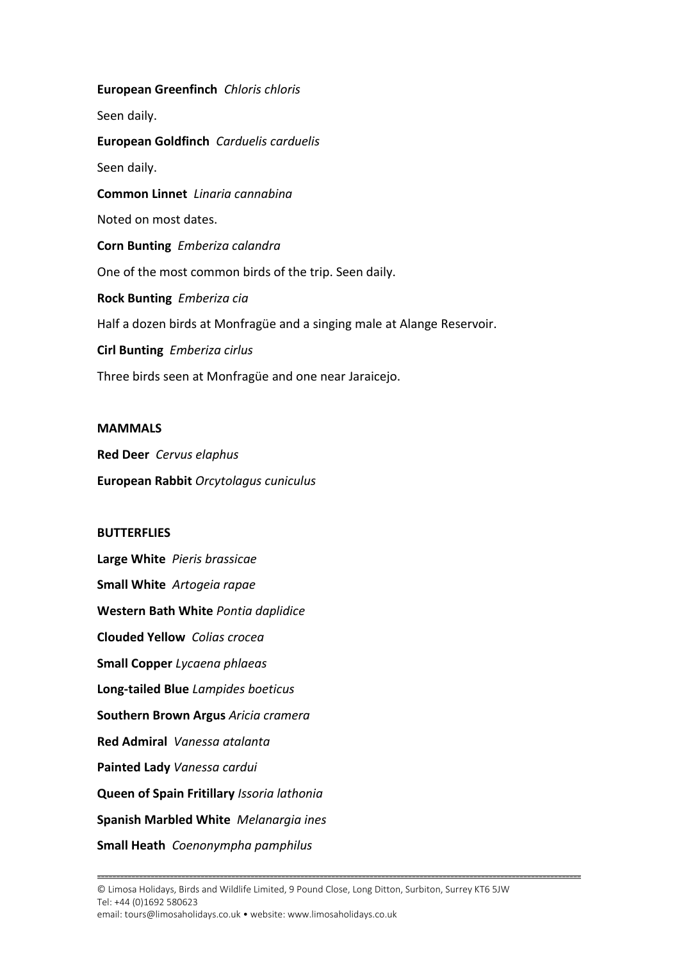**European Greenfinch** *Chloris chloris* Seen daily. **European Goldfinch** *Carduelis carduelis* Seen daily. **Common Linnet** *Linaria cannabina* Noted on most dates. **Corn Bunting** *Emberiza calandra* One of the most common birds of the trip. Seen daily. **Rock Bunting** *Emberiza cia* Half a dozen birds at Monfragüe and a singing male at Alange Reservoir. **Cirl Bunting** *Emberiza cirlus* Three birds seen at Monfragüe and one near Jaraicejo.

#### **MAMMALS**

**Red Deer** *Cervus elaphus* **European Rabbit** *Orcytolagus cuniculus*

#### **BUTTERFLIES**

**Large White** *Pieris brassicae* **Small White** *Artogeia rapae* **Western Bath White** *Pontia daplidice* **Clouded Yellow** *Colias crocea* **Small Copper** *Lycaena phlaeas* **Long-tailed Blue** *Lampides boeticus* **Southern Brown Argus** *Aricia cramera* **Red Admiral** *Vanessa atalanta* **Painted Lady** *Vanessa cardui* **Queen of Spain Fritillary** *Issoria lathonia* **Spanish Marbled White** *Melanargia ines* **Small Heath** *Coenonympha pamphilus*